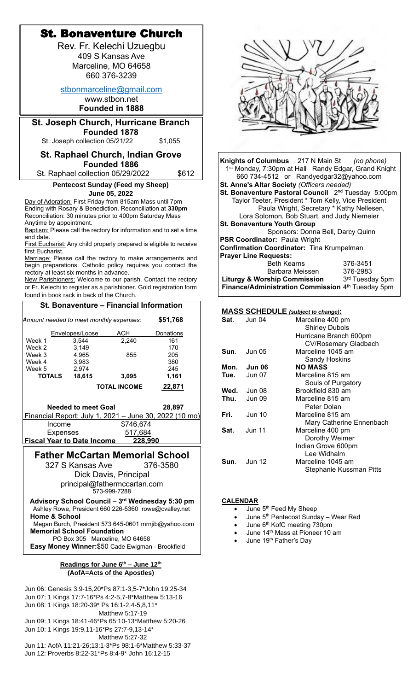| <b>St. Bonaventure Church</b>                                                                                         |                                         |
|-----------------------------------------------------------------------------------------------------------------------|-----------------------------------------|
| Rev. Fr. Kelechi Uzuegbu                                                                                              |                                         |
| 409 S Kansas Ave                                                                                                      |                                         |
| Marceline, MO 64658                                                                                                   |                                         |
| 660 376-3239                                                                                                          |                                         |
| stbonmarceline@gmail.com                                                                                              |                                         |
| www.stbon.net                                                                                                         |                                         |
| <b>Founded in 1888</b>                                                                                                |                                         |
| St. Joseph Church, Hurricane Branch                                                                                   |                                         |
| <b>Founded 1878</b><br>\$1,055                                                                                        |                                         |
| St. Joseph collection 05/21/22                                                                                        |                                         |
| <b>St. Raphael Church, Indian Grove</b>                                                                               | <b>Knights of Col</b>                   |
| Founded 1886<br>St. Raphael collection 05/29/2022<br>\$612                                                            | 1 <sup>st</sup> Monday, 7               |
| <b>Pentecost Sunday (Feed my Sheep)</b>                                                                               | 660 734-4<br><b>St. Anne's Alta</b>     |
| June 05, 2022                                                                                                         | St. Bonaventu                           |
| Day of Adoration: First Friday from 815am Mass until 7pm<br>Ending with Rosary & Benediction. Reconciliation at 330pm | <b>Taylor Teete</b><br>Pa               |
| Reconciliation: 30 minutes prior to 400pm Saturday Mass                                                               | Lora Solo                               |
| Anytime by appointment.<br>Baptism: Please call the rectory for information and to set a time                         | <b>St. Bonaventu</b>                    |
| and date.                                                                                                             | <b>PSR Coordinat</b>                    |
| First Eucharist: Any child properly prepared is eligible to receive<br>first Eucharist.                               | <b>Confirmation (</b>                   |
| Marriage: Please call the rectory to make arrangements and                                                            | Prayer Line Re                          |
| begin preparations. Catholic policy requires you contact the<br>rectory at least six months in advance.               |                                         |
| New Parishioners: Welcome to our parish. Contact the rectory                                                          | Liturgy & Wor                           |
| or Fr. Kelechi to register as a parishioner. Gold registration form<br>found in book rack in back of the Church.      | <b>Finance/Admi</b>                     |
| St. Bonaventure - Financial Information                                                                               |                                         |
| \$51.768                                                                                                              | <b>MASS SCHE</b><br>Sat.<br>Jun 04      |
| Amount needed to meet monthly expenses:                                                                               |                                         |
| ACH<br>Envelopes/Loose<br>Donations<br>Week 1<br>3,544<br>2,240<br>161                                                |                                         |
| Week 2<br>3,149<br>170                                                                                                | <b>Jun 05</b><br>Sun.                   |
| 4,965<br>205<br>Week 3<br>855<br>3,983<br>380<br>Week 4                                                               |                                         |
| 2,974<br>245<br>Week 5<br><b>TOTALS</b><br>1,161                                                                      | Mon.<br>Jun 06<br>Tue.<br>Jun 07        |
| 3,095<br>18,615<br><b>TOTAL INCOME</b><br>22,871                                                                      |                                         |
|                                                                                                                       | Wed.<br><b>Jun 08</b><br>Thu.<br>Jun 09 |
| <b>Needed to meet Goal</b><br>28,897                                                                                  |                                         |
| Financial Report: July 1, 2021 - June 30, 2022 (10 mo)                                                                | Fri.<br><b>Jun 10</b>                   |
| \$746,674<br>Income<br>517,684<br><b>Expenses</b>                                                                     | Sat.<br><b>Jun 11</b>                   |
| <b>Fiscal Year to Date Income</b><br>228,990                                                                          |                                         |
| <b>Father McCartan Memorial School</b>                                                                                |                                         |
| 327 S Kansas Ave<br>376-3580                                                                                          | Sun.<br><b>Jun 12</b>                   |
| Dick Davis, Principal                                                                                                 |                                         |
| principal@fathermccartan.com                                                                                          |                                         |
| 573-999-7288<br>Advisory School Council - 3rd Wednesday 5:30 pm                                                       | <b>CALENDAR</b>                         |
| Ashley Rowe, President 660 226-5360 rowe@cvalley.net                                                                  | June 5<br>$\bullet$                     |
| <b>Home &amp; School</b><br>Megan Burch, President 573 645-0601 mrnjib@yahoo.com                                      | June 5<br>$\bullet$                     |
| <b>Memorial School Foundation</b>                                                                                     | June 6<br>June 1                        |
| PO Box 305 Marceline, MO 64658<br>Easy Money Winner: \$50 Cade Ewigman - Brookfield                                   | June 1                                  |
|                                                                                                                       |                                         |
| Readings for June 6th - June 12th<br>(AofA=Acts of the Apostles)                                                      |                                         |
|                                                                                                                       |                                         |
| Jun 06: Genesis 3:9-15,20*Ps 87:1-3,5-7*John 19:25-34<br>Jun 07: 1 Kings 17:7-16*Ps 4:2-5,7-8*Matthew 5:13-16         |                                         |
| Jun 08: 1 Kings 18:20-39* Ps 16:1-2,4-5,8,11*                                                                         |                                         |
| Matthew 5:17-19<br>Jun 09: 1 Kings 18:41-46*Ps 65:10-13*Matthew 5:20-26                                               |                                         |
|                                                                                                                       |                                         |

Jun 10: 1 Kings 19:9,11-16\*Ps 27:7-9,13-14\* Matthew 5:27-32 Jun 11: AofA 11:21-26;13:1-3\*Ps 98:1-6\*Matthew 5:33-37 Jun 12: Proverbs 8:22-31\*Ps 8:4-9\* John 16:12-15



**Knights of Columbus** 217 N Main St *(no phone)* :30pm at Hall Randy Edgar, Grand Knight 512 or [Randyedgar32@yahoo.com](mailto:Randyedgar32@yahoo.com) **St. Anne's Altar Society** *(Officers needed)* **St. Bonaventure Pastoral Council** 2<sup>nd</sup> Tuesday 5:00pm Taylor Teeter, President \* Tom Kelly, Vice President Paula Wright, Secretary \* Kathy Nellesen, omon, Bob Stuart, and Judy Niemeier **Read Youth Group**  Sponsors: Donna Bell, Darcy Quinn **tor:** Paula Wright **Coordinator:** Tina Krumpelman **Prayer Line Requests:** Beth Kearns 376-3451 Barbara Meissen 376-2983 *<u>Ship Commission</u>* 3<sup>rd</sup> Tuesday 5pm **Finance/Administration Commission** 4<sup>th</sup> Tuesday 5pm

## $B\text{HDE}$  *(subject to change)*:

| Sat.   | Jun 04               | Marceline 400 pm         |
|--------|----------------------|--------------------------|
|        |                      | Shirley Dubois           |
|        |                      | Hurricane Branch 600pm   |
|        |                      | CV/Rosemary Gladbach     |
|        | $Sun.$ Jun $05$      | Marceline 1045 am        |
|        |                      | Sandy Hoskins            |
|        | Mon. Jun 06          | <b>NO MASS</b>           |
|        | <b>Tue.</b> Jun 07   | Marceline 815 am         |
|        |                      | Souls of Purgatory       |
|        | <b>Wed.</b> Jun $08$ | Brookfield 830 am        |
|        | <b>Thu.</b> Jun 09   | Marceline 815 am         |
|        |                      | Peter Dolan              |
| Fri. I | <b>Jun 10</b>        | Marceline 815 am         |
|        |                      | Mary Catherine Ennenbach |
| Sat.   | <b>Jun 11</b>        | Marceline 400 pm         |
|        |                      | Dorothy Weimer           |
|        |                      | Indian Grove 600pm       |
|        |                      | Lee Widhalm              |
| Sun.   | Jun 12               | Marceline 1045 am        |
|        |                      | Stephanie Kussman Pitts  |

- <sup>th</sup> Feed My Sheep
- th Pentecost Sunday Wear Red
- th KofC meeting 730pm
- 4<sup>th</sup> Mass at Pioneer 10 am
- 9<sup>th</sup> Father's Day